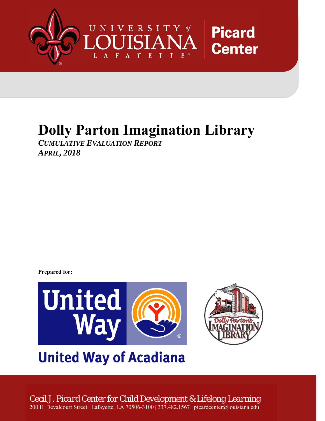

# **Dolly Parton Imagination Library**

*CUMULATIVE EVALUATION REPORT APRIL, 2018* 

**Prepared for:**



# **United Way of Acadiana**

*Cecil J. Picard Center for Child Development & Lifelong Learning* 200 E. Devalcourt Street | Lafayette, LA 70506-3100 | 337.482.1567 | picardcenter@louisiana.edu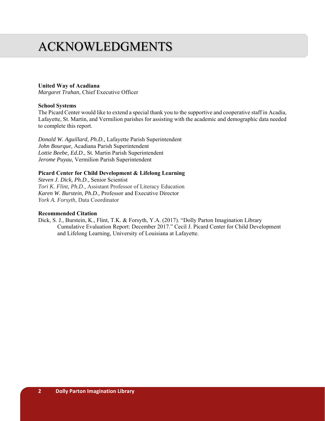## ACKNOWLEDGMENTS

#### **United Way of Acadiana**

*Margaret Trahan,* Chief Executive Officer

#### **School Systems**

The Picard Center would like to extend a special thank you to the supportive and cooperative staff in Acadia, Lafayette, St. Martin, and Vermilion parishes for assisting with the academic and demographic data needed to complete this report.

*Donald W. Aguillard, Ph.D.,* Lafayette Parish Superintendent *John Bourque,* Acadiana Parish Superintendent *Lottie Beebe, Ed.D*., St. Martin Parish Superintendent *Jerome Puyau*, Vermilion Parish Superintendent

#### **Picard Center for Child Development & Lifelong Learning**

*Steven J. Dick, Ph.D*., Senior Scientist *Tori K. Flint, Ph.D*., Assistant Professor of Literacy Education *Karen W. Burstein, Ph.D.,* Professor and Executive Director *York A. Forsyth,* Data Coordinator

#### **Recommended Citation**

Dick, S. J., Burstein, K., Flint, T.K. & Forsyth, Y.A. (2017). "Dolly Parton Imagination Library Cumulative Evaluation Report: December 2017." Cecil J. Picard Center for Child Development and Lifelong Learning, University of Louisiana at Lafayette.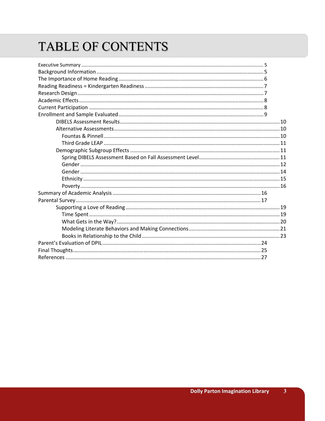## TABLE OF CONTENTS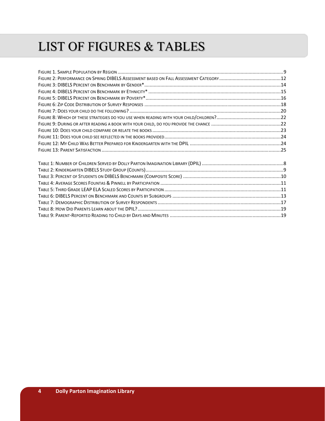## LIST OF FIGURES & TABLES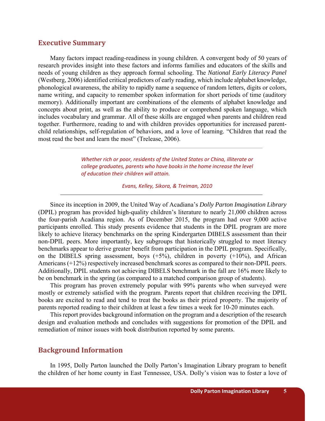## **Executive Summary**

Many factors impact reading-readiness in young children. A convergent body of 50 years of research provides insight into these factors and informs families and educators of the skills and needs of young children as they approach formal schooling. The *National Early Literacy Panel* (Westberg, 2006) identified critical predictors of early reading, which include alphabet knowledge, phonological awareness, the ability to rapidly name a sequence of random letters, digits or colors, name writing, and capacity to remember spoken information for short periods of time (auditory memory). Additionally important are combinations of the elements of alphabet knowledge and concepts about print, as well as the ability to produce or comprehend spoken language, which includes vocabulary and grammar. All of these skills are engaged when parents and children read together. Furthermore, reading to and with children provides opportunities for increased parentchild relationships, self-regulation of behaviors, and a love of learning. "Children that read the most read the best and learn the most" (Trelease, 2006).

> *Whether rich or poor, residents of the United States or China, illiterate or college graduates, parents who have books in the home increase the level of education their children will attain.*

> > *Evans, Kelley, Sikora, & Treiman, 2010*

Since its inception in 2009, the United Way of Acadiana's *Dolly Parton Imagination Library*  (DPIL) program has provided high-quality children's literature to nearly 21,000 children across the four-parish Acadiana region. As of December 2015, the program had over 9,000 active participants enrolled. This study presents evidence that students in the DPIL program are more likely to achieve literacy benchmarks on the spring Kindergarten DIBELS assessment than their non-DPIL peers. More importantly, key subgroups that historically struggled to meet literacy benchmarks appear to derive greater benefit from participation in the DPIL program. Specifically, on the DIBELS spring assessment, boys  $(+5%)$ , children in poverty  $(+10%)$ , and African Americans (+12%) respectively increased benchmark scores as compared to their non-DPIL peers. Additionally, DPIL students not achieving DIBELS benchmark in the fall are 16% more likely to be on benchmark in the spring (as compared to a matched comparison group of students).

This program has proven extremely popular with 99% parents who when surveyed were mostly or extremely satisfied with the program. Parents report that children receiving the DPIL books are excited to read and tend to treat the books as their prized property. The majority of parents reported reading to their children at least a few times a week for 10-20 minutes each.

This report provides background information on the program and a description of the research design and evaluation methods and concludes with suggestions for promotion of the DPIL and remediation of minor issues with book distribution reported by some parents.

## **Background Information**

In 1995, Dolly Parton launched the Dolly Parton's Imagination Library program to benefit the children of her home county in East Tennessee, USA. Dolly's vision was to foster a love of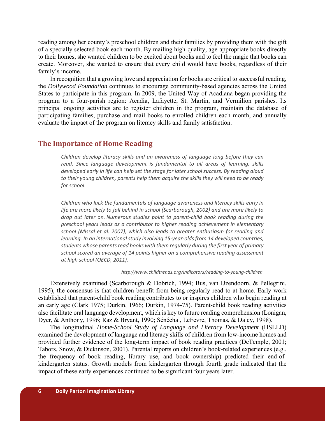reading among her county's preschool children and their families by providing them with the gift of a specially selected book each month. By mailing high-quality, age-appropriate books directly to their homes, she wanted children to be excited about books and to feel the magic that books can create. Moreover, she wanted to ensure that every child would have books, regardless of their family's income.

In recognition that a growing love and appreciation for books are critical to successful reading, the *Dollywood Foundation* continues to encourage community-based agencies across the United States to participate in this program. In 2009, the United Way of Acadiana began providing the program to a four-parish region: Acadia, Lafayette, St. Martin, and Vermilion parishes. Its principal ongoing activities are to register children in the program, maintain the database of participating families, purchase and mail books to enrolled children each month, and annually evaluate the impact of the program on literacy skills and family satisfaction.

## **The Importance of Home Reading**

*Children develop literacy skills and an awareness of language long before they can read. Since language development is fundamental to all areas of learning, skills developed early in life can help set the stage for later school success. By reading aloud to their young children, parents help them acquire the skills they will need to be ready for school.* 

*Children who lack the fundamentals of language awareness and literacy skills early in life are more likely to fall behind in school (Scarborough, 2002) and are more likely to drop out later on. Numerous studies point to parent‐child book reading during the preschool years leads as a contributor to higher reading achievement in elementary school (Missal et al. 2007), which also leads to greater enthusiasm for reading and learning. In an international study involving 15‐year‐olds from 14 developed countries, students whose parents read books with them regularly during the first year of primary school scored an average of 14 points higher on a comprehensive reading assessment at high school (OECD, 2011).* 

#### *http://www.childtrends.org/indicators/reading‐to‐young‐children*

Extensively examined (Scarborough & Dobrich, 1994; Bus, van IJzendoorn, & Pellegrini, 1995), the consensus is that children benefit from being regularly read to at home. Early work established that parent-child book reading contributes to or inspires children who begin reading at an early age (Clark 1975; Durkin, 1966; Durkin, 1974-75). Parent-child book reading activities also facilitate oral language development, which is key to future reading comprehension (Lonigan, Dyer, & Anthony, 1996; Raz & Bryant, 1990; Sénéchal, LeFevre, Thomas, & Daley, 1998).

The longitudinal *Home-School Study of Language and Literacy Development* (HSLLD) examined the development of language and literacy skills of children from low-income homes and provided further evidence of the long-term impact of book reading practices (DeTemple, 2001; Tabors, Snow, & Dickinson, 2001). Parental reports on children's book-related experiences (e.g., the frequency of book reading, library use, and book ownership) predicted their end-ofkindergarten status. Growth models from kindergarten through fourth grade indicated that the impact of these early experiences continued to be significant four years later.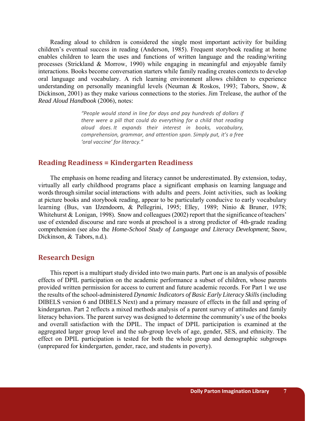Reading aloud to children is considered the single most important activity for building children's eventual success in reading (Anderson, 1985). Frequent storybook reading at home enables children to learn the uses and functions of written language and the reading/writing processes (Strickland & Morrow, 1990) while engaging in meaningful and enjoyable family interactions. Books become conversation starters while family reading creates contexts to develop oral language and vocabulary. A rich learning environment allows children to experience understanding on personally meaningful levels (Neuman & Roskos, 1993; Tabors, Snow, & Dickinson, 2001) as they make various connections to the stories. Jim Trelease, the author of the *Read Aloud Handbook* (2006), notes:

> *"People would stand in line for days and pay hundreds of dollars if there were a pill that could do everything for a child that reading aloud does. It expands their interest in books, vocabulary, comprehension, grammar, and attention span. Simply put, it's a free 'oral vaccine' for literacy."*

## **Reading Readiness = Kindergarten Readiness**

The emphasis on home reading and literacy cannot be underestimated. By extension, today, virtually all early childhood programs place a significant emphasis on learning language and words through similar social interactions with adults and peers. Joint activities, such as looking at picture books and storybook reading, appear to be particularly conducive to early vocabulary learning (Bus, van IJzendoorn, & Pellegrini, 1995; Elley, 1989; Ninio & Bruner, 1978; Whitehurst & Lonigan, 1998). Snow and colleagues (2002) report that the significance of teachers' use of extended discourse and rare words at preschool is a strong predictor of 4th-grade reading comprehension (see also the *Home-School Study of Language and Literacy Development*; Snow, Dickinson, & Tabors, n.d.).

## **Research Design**

This report is a multipart study divided into two main parts. Part one is an analysis of possible effects of DPIL participation on the academic performance a subset of children, whose parents provided written permission for access to current and future academic records. For Part 1 we use the results of the school-administered *Dynamic Indicators of Basic Early Literacy Skills* (including DIBELS version 6 and DIBELS Next) and a primary measure of effects in the fall and spring of kindergarten. Part 2 reflects a mixed methods analysis of a parent survey of attitudes and family literacy behaviors. The parent survey was designed to determine the community's use of the books and overall satisfaction with the DPIL. The impact of DPIL participation is examined at the aggregated larger group level and the sub-group levels of age, gender, SES, and ethnicity. The effect on DPIL participation is tested for both the whole group and demographic subgroups (unprepared for kindergarten, gender, race, and students in poverty).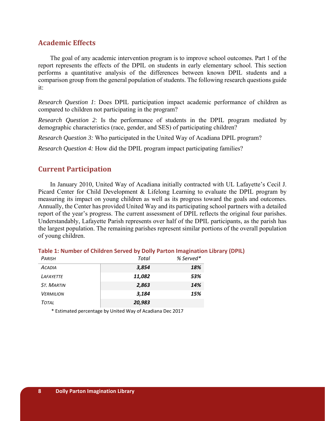## **Academic Effects**

The goal of any academic intervention program is to improve school outcomes. Part 1 of the report represents the effects of the DPIL on students in early elementary school. This section performs a quantitative analysis of the differences between known DPIL students and a comparison group from the general population of students. The following research questions guide it:

*Research Question 1*: Does DPIL participation impact academic performance of children as compared to children not participating in the program?

*Research Question 2*: Is the performance of students in the DPIL program mediated by demographic characteristics (race, gender, and SES) of participating children?

*Research Question 3:* Who participated in the United Way of Acadiana DPIL program?

*Research Question 4:* How did the DPIL program impact participating families?

## **Current Participation**

In January 2010, United Way of Acadiana initially contracted with UL Lafayette's Cecil J. Picard Center for Child Development & Lifelong Learning to evaluate the DPIL program by measuring its impact on young children as well as its progress toward the goals and outcomes. Annually, the Center has provided United Way and its participating school partners with a detailed report of the year's progress. The current assessment of DPIL reflects the original four parishes. Understandably, Lafayette Parish represents over half of the DPIL participants, as the parish has the largest population. The remaining parishes represent similar portions of the overall population of young children.

| PARISH            | Total  | % Served* |
|-------------------|--------|-----------|
| <b>ACADIA</b>     | 3,854  | 18%       |
| LAFAYETTE         | 11,082 | 53%       |
| <b>ST. MARTIN</b> | 2,863  | 14%       |
| <b>VERMILION</b>  | 3,184  | 15%       |
| <b>TOTAL</b>      | 20,983 |           |

#### **Table 1: Number of Children Served by Dolly Parton Imagination Library (DPIL)**

\* Estimated percentage by United Way of Acadiana Dec 2017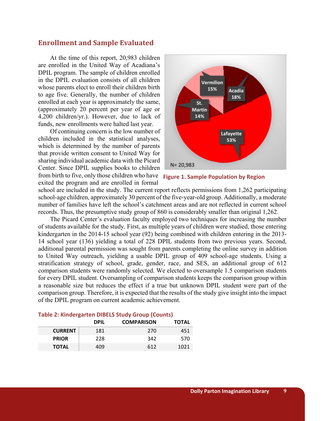## **Enrollment and Sample Evaluated**

At the time of this report, 20,983 children are enrolled in the United Way of Acadiana's DPIL program. The sample of children enrolled in the DPIL evaluation consists of all children whose parents elect to enroll their children birth to age five. Generally, the number of children enrolled at each year is approximately the same, (approximately 20 percent per year of age or 4,200 children/yr.). However, due to lack of funds, new enrollments were halted last year.

Of continuing concern is the low number of children included in the statistical analyses, which is determined by the number of parents that provide written consent to United Way for sharing individual academic data with the Picard Center. Since DPIL supplies books to children from birth to five, only those children who have **Figure 1. Sample Population by Region** exited the program and are enrolled in formal





school are included in the study. The current report reflects permissions from 1,262 participating school-age children, approximately 30 percent of the five-year-old group. Additionally, a moderate number of families have left the school's catchment areas and are not reflected in current school records. Thus, the presumptive study group of 860 is considerably smaller than original 1,262.

The Picard Center's evaluation faculty employed two techniques for increasing the number of students available for the study. First, as multiple years of children were studied, those entering kindergarten in the 2014-15 school year (92) being combined with children entering in the 2013- 14 school year (136) yielding a total of 228 DPIL students from two previous years. Second, additional parental permission was sought from parents completing the online survey in addition to United Way outreach, yielding a usable DPIL group of 409 school-age students. Using a stratification strategy of school, grade, gender, race, and SES, an additional group of 612 comparison students were randomly selected. We elected to oversample 1.5 comparison students for every DPIL student. Oversampling of comparison students keeps the comparison group within a reasonable size but reduces the effect if a true but unknown DPIL student were part of the comparison group. Therefore, it is expected that the results of the study give insight into the impact of the DPIL program on current academic achievement.

|                | <b>DPIL</b> | <b>COMPARISON</b> | <b>TOTAL</b> |
|----------------|-------------|-------------------|--------------|
| <b>CURRENT</b> | 181         | 270               | 451          |
| <b>PRIOR</b>   | 228         | 342               | 570          |
| <b>TOTAL</b>   | 409         | 612               | 1021         |

#### **Table 2: Kindergarten DIBELS Study Group (Counts)**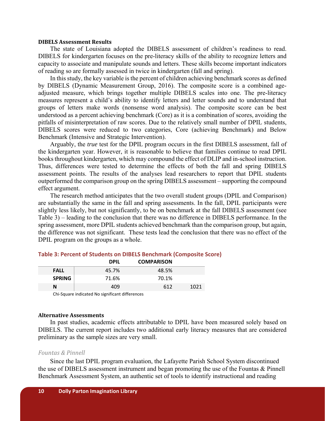#### **DIBELS Assessment Results**

The state of Louisiana adopted the DIBELS assessment of children's readiness to read. DIBELS for kindergarten focuses on the pre-literacy skills of the ability to recognize letters and capacity to associate and manipulate sounds and letters. These skills become important indicators of reading so are formally assessed in twice in kindergarten (fall and spring).

In this study, the key variable is the percent of children achieving benchmark scores as defined by DIBELS (Dynamic Measurement Group, 2016). The composite score is a combined ageadjusted measure, which brings together multiple DIBELS scales into one. The pre-literacy measures represent a child's ability to identify letters and letter sounds and to understand that groups of letters make words (nonsense word analysis). The composite score can be best understood as a percent achieving benchmark (Core) as it is a combination of scores, avoiding the pitfalls of misinterpretation of raw scores. Due to the relatively small number of DPIL students, DIBELS scores were reduced to two categories, Core (achieving Benchmark) and Below Benchmark (Intensive and Strategic Intervention).

Arguably, the *true* test for the DPIL program occurs in the first DIBELS assessment, fall of the kindergarten year. However, it is reasonable to believe that families continue to read DPIL books throughout kindergarten, which may compound the effect of DLIP and in-school instruction. Thus, differences were tested to determine the effects of both the fall and spring DIBELS assessment points. The results of the analyses lead researchers to report that DPIL students outperformed the comparison group on the spring DIBELS assessment – supporting the compound effect argument.

The research method anticipates that the two overall student groups (DPIL and Comparison) are substantially the same in the fall and spring assessments. In the fall, DPIL participants were slightly less likely, but not significantly, to be on benchmark at the fall DIBELS assessment (see Table 3) – leading to the conclusion that there was no difference in DIBELS performance. In the spring assessment, more DPIL students achieved benchmark than the comparison group, but again, the difference was not significant. These tests lead the conclusion that there was no effect of the DPIL program on the groups as a whole.

|               | <b>DPIL</b> | <b>COMPARISON</b> |      |
|---------------|-------------|-------------------|------|
| <b>FALL</b>   | 45.7%       | 48.5%             |      |
| <b>SPRING</b> | 71.6%       | 70.1%             |      |
| N             | 409         | 612               | 1021 |

## **Table 3: Percent of Students on DIBELS Benchmark (Composite Score)**

Chi‐Square indicated No significant differences

#### **Alternative Assessments**

In past studies, academic effects attributable to DPIL have been measured solely based on DIBELS. The current report includes two additional early literacy measures that are considered preliminary as the sample sizes are very small.

#### *Fountas & Pinnell*

Since the last DPIL program evaluation, the Lafayette Parish School System discontinued the use of DIBELS assessment instrument and began promoting the use of the Fountas & Pinnell Benchmark Assessment System, an authentic set of tools to identify instructional and reading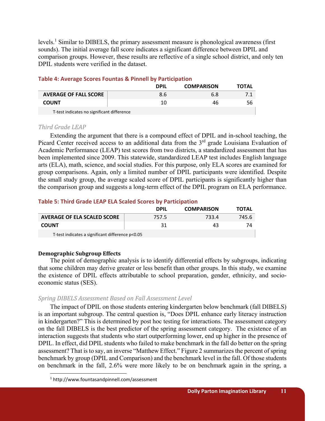levels.<sup>1</sup> Similar to DIBELS, the primary assessment measure is phonological awareness (first sounds). The initial average fall score indicates a significant difference between DPIL and comparison groups. However, these results are reflective of a single school district, and only ten DPIL students were verified in the dataset.

|                                                                                                                                                                                                                                | <b>DPIL</b> | <b>COMPARISON</b> | <b>TOTAL</b> |  |
|--------------------------------------------------------------------------------------------------------------------------------------------------------------------------------------------------------------------------------|-------------|-------------------|--------------|--|
| <b>AVERAGE OF FALL SCORE</b>                                                                                                                                                                                                   | 8.6         | 6.8               |              |  |
| <b>COUNT</b>                                                                                                                                                                                                                   | 10          | 46                | 56           |  |
| the company of the second company of the second of the company of the second second second second second second second second second second second second second second second second second second second second second secon |             |                   |              |  |

## **Table 4: Average Scores Fountas & Pinnell by Participation**

T‐test indicates no significant difference

#### *Third Grade LEAP*

Extending the argument that there is a compound effect of DPIL and in-school teaching, the Picard Center received access to an additional data from the 3<sup>rd</sup> grade Louisiana Evaluation of Academic Performance (LEAP) test scores from two districts, a standardized assessment that has been implemented since 2009. This statewide, standardized LEAP test includes English language arts (ELA), math, science, and social studies. For this purpose, only ELA scores are examined for group comparisons. Again, only a limited number of DPIL participants were identified. Despite the small study group, the average scaled score of DPIL participants is significantly higher than the comparison group and suggests a long-term effect of the DPIL program on ELA performance.

## **Table 5: Third Grade LEAP ELA Scaled Scores by Participation**

|                                                  | <b>DPIL</b> | <b>COMPARISON</b> | <b>TOTAL</b> |
|--------------------------------------------------|-------------|-------------------|--------------|
| <b>AVERAGE OF ELA SCALED SCORE</b>               | 757.5       | 733.4             | 745.6        |
| <b>COUNT</b>                                     | 31          | 43                | 74.          |
| T-test indicates a significant difference p<0.05 |             |                   |              |

## **Demographic Subgroup Effects**

The point of demographic analysis is to identify differential effects by subgroups, indicating that some children may derive greater or less benefit than other groups. In this study, we examine the existence of DPIL effects attributable to school preparation, gender, ethnicity, and socioeconomic status (SES).

## *Spring DIBELS Assessment Based on Fall Assessment Level*

The impact of DPIL on those students entering kindergarten below benchmark (fall DIBELS) is an important subgroup. The central question is, "Does DPIL enhance early literacy instruction in kindergarten?" This is determined by post hoc testing for interactions. The assessment category on the fall DIBELS is the best predictor of the spring assessment category. The existence of an interaction suggests that students who start outperforming lower, end up higher in the presence of DPIL. In effect, did DPIL students who failed to make benchmark in the fall do better on the spring assessment? That is to say, an inverse "Matthew Effect." Figure 2 summarizes the percent of spring benchmark by group (DPIL and Comparison) and the benchmark level in the fall. Of those students on benchmark in the fall, 2.6% were more likely to be on benchmark again in the spring, a

<sup>1</sup> http://www.fountasandpinnell.com/assessment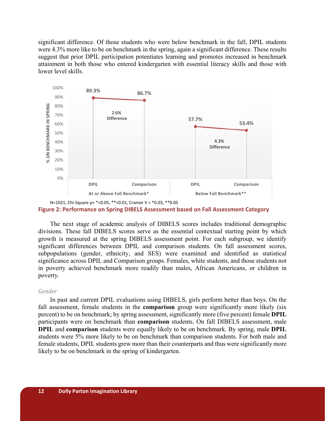significant difference. Of those students who were below benchmark in the fall, DPIL students were 4.3% more like to be on benchmark in the spring, again a significant difference. These results suggest that prior DPIL participation potentiates learning and promotes increased in benchmark attainment in both those who entered kindergarten with essential literacy skills and those with lower level skills.



N=1021, Chi‐Square p= \*<0.05, \*\*<0.01, Cramer V = \*0.03, \*\*0.05 **Figure 2: Performance on Spring DIBELS Assessment based on Fall Assessment Category** 

The next stage of academic analysis of DIBELS scores includes traditional demographic divisions. These fall DIBELS scores serve as the essential contextual starting point by which growth is measured at the spring DIBELS assessment point. For each subgroup, we identify significant differences between DPIL and comparison students. On fall assessment scores, subpopulations (gender, ethnicity, and SES) were examined and identified as statistical significance across DPIL and Comparison groups. Females, white students, and those students not in poverty achieved benchmark more readily than males, African Americans, or children in poverty.

#### *Gender*

In past and current DPIL evaluations using DIBELS, girls perform better than boys. On the fall assessment, female students in the **comparison** group were significantly more likely (six percent) to be on benchmark; by spring assessment, significantly more (five percent) female **DPIL**  participants were on benchmark than **comparison** students. On fall DIBELS assessment, male **DPIL** and **comparison** students were equally likely to be on benchmark. By spring, male **DPIL** students were 5% more likely to be on benchmark than comparison students. For both male and female students, DPIL students grew more than their counterparts and thus were significantly more likely to be on benchmark in the spring of kindergarten.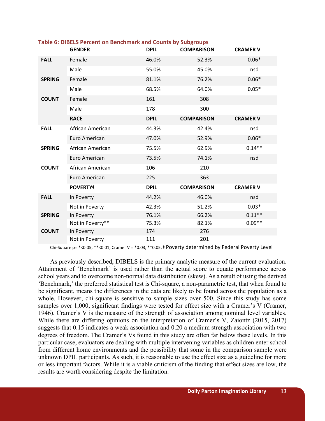|               | <b>GENDER</b>    | <b>DPIL</b> | <b>COMPARISON</b> | <b>CRAMER V</b> |
|---------------|------------------|-------------|-------------------|-----------------|
| <b>FALL</b>   | Female           | 46.0%       | 52.3%             | $0.06*$         |
|               | Male             | 55.0%       | 45.0%             | nsd             |
| <b>SPRING</b> | Female           | 81.1%       | 76.2%             | $0.06*$         |
|               | Male             | 68.5%       | 64.0%             | $0.05*$         |
| <b>COUNT</b>  | Female           | 161         | 308               |                 |
|               | Male             | 178         | 300               |                 |
|               | <b>RACE</b>      | <b>DPIL</b> | <b>COMPARISON</b> | <b>CRAMER V</b> |
| <b>FALL</b>   | African American | 44.3%       | 42.4%             | nsd             |
|               | Euro American    | 47.0%       | 52.9%             | $0.06*$         |
| <b>SPRING</b> | African American | 75.5%       | 62.9%             | $0.14**$        |
|               | Euro American    | 73.5%       | 74.1%             | nsd             |
| <b>COUNT</b>  | African American | 106         | 210               |                 |
|               | Euro American    | 225         | 363               |                 |
|               | <b>POVERTY#</b>  | <b>DPIL</b> | <b>COMPARISON</b> | <b>CRAMER V</b> |
| <b>FALL</b>   | In Poverty       | 44.2%       | 46.0%             | nsd             |
|               | Not in Poverty   | 42.3%       | 51.2%             | $0.03*$         |
| <b>SPRING</b> | In Poverty       | 76.1%       | 66.2%             | $0.11**$        |
|               | Not in Poverty** | 75.3%       | 82.1%             | $0.09**$        |
| <b>COUNT</b>  | In Poverty       | 174         | 276               |                 |
|               | Not in Poverty   | 111         | 201               |                 |

#### **Table 6: DIBELS Percent on Benchmark and Counts by Subgroups**

Chi-Square p= \*<0.05, \*\*<0.01, Cramer V = \*0.03, \*\*0.05,  $\dagger$  Poverty determined by Federal Poverty Level

As previously described, DIBELS is the primary analytic measure of the current evaluation. Attainment of 'Benchmark' is used rather than the actual score to equate performance across school years and to overcome non-normal data distribution (skew). As a result of using the derived 'Benchmark,' the preferred statistical test is Chi-square, a non-parametric test, that when found to be significant, means the differences in the data are likely to be found across the population as a whole. However, chi-square is sensitive to sample sizes over 500. Since this study has some samples over 1,000, significant findings were tested for effect size with a Cramer's V (Cramer, 1946). Cramer's V is the measure of the strength of association among nominal level variables. While there are differing opinions on the interpretation of Cramer's V, Zaiontz (2015, 2017) suggests that 0.15 indicates a weak association and 0.20 a medium strength association with two degrees of freedom. The Cramer's Vs found in this study are often far below these levels. In this particular case, evaluators are dealing with multiple intervening variables as children enter school from different home environments and the possibility that some in the comparison sample were unknown DPIL participants. As such, it is reasonable to use the effect size as a guideline for more or less important factors. While it is a viable criticism of the finding that effect sizes are low, the results are worth considering despite the limitation.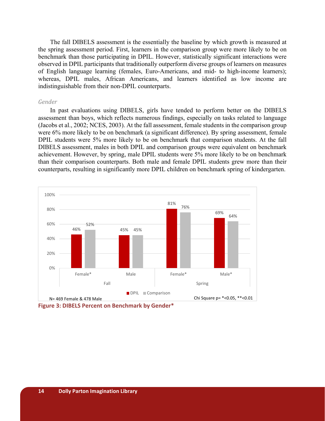The fall DIBELS assessment is the essentially the baseline by which growth is measured at the spring assessment period. First, learners in the comparison group were more likely to be on benchmark than those participating in DPIL. However, statistically significant interactions were observed in DPIL participants that traditionally outperform diverse groups of learners on measures of English language learning (females, Euro-Americans, and mid- to high-income learners); whereas, DPIL males, African Americans, and learners identified as low income are indistinguishable from their non-DPIL counterparts.

#### *Gender*

In past evaluations using DIBELS, girls have tended to perform better on the DIBELS assessment than boys, which reflects numerous findings, especially on tasks related to language (Jacobs et al., 2002; NCES, 2003). At the fall assessment, female students in the comparison group were 6% more likely to be on benchmark (a significant difference). By spring assessment, female DPIL students were 5% more likely to be on benchmark that comparison students. At the fall DIBELS assessment, males in both DPIL and comparison groups were equivalent on benchmark achievement. However, by spring, male DPIL students were 5% more likely to be on benchmark than their comparison counterparts. Both male and female DPIL students grew more than their counterparts, resulting in significantly more DPIL children on benchmark spring of kindergarten.



**Figure 3: DIBELS Percent on Benchmark by Gender\***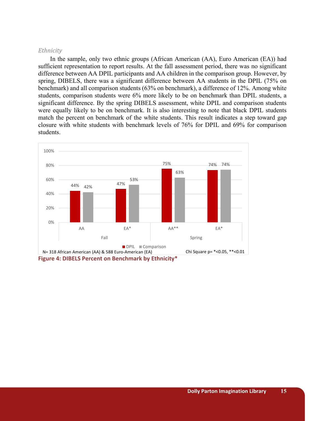## *Ethnicity*

In the sample, only two ethnic groups (African American (AA), Euro American (EA)) had sufficient representation to report results. At the fall assessment period, there was no significant difference between AA DPIL participants and AA children in the comparison group. However, by spring, DIBELS, there was a significant difference between AA students in the DPIL (75% on benchmark) and all comparison students (63% on benchmark), a difference of 12%. Among white students, comparison students were 6% more likely to be on benchmark than DPIL students, a significant difference. By the spring DIBELS assessment, white DPIL and comparison students were equally likely to be on benchmark. It is also interesting to note that black DPIL students match the percent on benchmark of the white students. This result indicates a step toward gap closure with white students with benchmark levels of 76% for DPIL and 69% for comparison students.



**Figure 4: DIBELS Percent on Benchmark by Ethnicity\***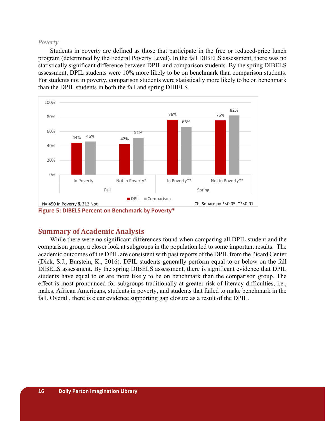#### *Poverty*

Students in poverty are defined as those that participate in the free or reduced-price lunch program (determined by the Federal Poverty Level). In the fall DIBELS assessment, there was no statistically significant difference between DPIL and comparison students. By the spring DIBELS assessment, DPIL students were 10% more likely to be on benchmark than comparison students. For students not in poverty, comparison students were statistically more likely to be on benchmark than the DPIL students in both the fall and spring DIBELS.



## **Summary of Academic Analysis**

While there were no significant differences found when comparing all DPIL student and the comparison group, a closer look at subgroups in the population led to some important results. The academic outcomes of the DPIL are consistent with past reports of the DPIL from the Picard Center (Dick, S.J., Burstein, K., 2016). DPIL students generally perform equal to or below on the fall DIBELS assessment. By the spring DIBELS assessment, there is significant evidence that DPIL students have equal to or are more likely to be on benchmark than the comparison group. The effect is most pronounced for subgroups traditionally at greater risk of literacy difficulties, i.e., males, African Americans, students in poverty, and students that failed to make benchmark in the fall. Overall, there is clear evidence supporting gap closure as a result of the DPIL.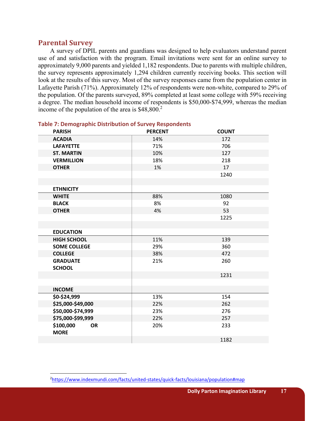## **Parental Survey**

A survey of DPIL parents and guardians was designed to help evaluators understand parent use of and satisfaction with the program. Email invitations were sent for an online survey to approximately 9,000 parents and yielded 1,182 respondents. Due to parents with multiple children, the survey represents approximately 1,294 children currently receiving books. This section will look at the results of this survey. Most of the survey responses came from the population center in Lafayette Parish (71%). Approximately 12% of respondents were non-white, compared to 29% of the population. Of the parents surveyed, 89% completed at least some college with 59% receiving a degree. The median household income of respondents is \$50,000-\$74,999, whereas the median income of the population of the area is  $$48,800.<sup>2</sup>$ 

| <b>PARISH</b>                         | <b>PERCENT</b> | <b>COUNT</b> |
|---------------------------------------|----------------|--------------|
| <b>ACADIA</b>                         | 14%            | 172          |
| <b>LAFAYETTE</b>                      | 71%            | 706          |
| <b>ST. MARTIN</b>                     | 10%            | 127          |
| <b>VERMILLION</b>                     | 18%            | 218          |
| <b>OTHER</b>                          | 1%             | 17           |
|                                       |                | 1240         |
|                                       |                |              |
| <b>ETHNICITY</b>                      |                |              |
| <b>WHITE</b>                          | 88%            | 1080         |
| <b>BLACK</b>                          | 8%             | 92           |
| <b>OTHER</b>                          | 4%             | 53           |
|                                       |                | 1225         |
|                                       |                |              |
| <b>EDUCATION</b>                      |                |              |
| <b>HIGH SCHOOL</b>                    | 11%            | 139          |
| <b>SOME COLLEGE</b>                   | 29%            | 360          |
| <b>COLLEGE</b>                        | 38%            | 472          |
| <b>GRADUATE</b>                       | 21%            | 260          |
| <b>SCHOOL</b>                         |                |              |
|                                       |                | 1231         |
|                                       |                |              |
| <b>INCOME</b>                         |                |              |
| \$0-\$24,999                          | 13%            | 154          |
| \$25,000-\$49,000                     | 22%            | 262          |
| \$50,000-\$74,999                     | 23%            | 276          |
| \$75,000-\$99,999                     | 22%            | 257          |
| \$100,000<br><b>OR</b><br><b>MORE</b> | 20%            | 233          |
|                                       |                | 1182         |

#### **Table 7: Demographic Distribution of Survey Respondents**

<sup>2</sup> https://www.indexmundi.com/facts/united‐states/quick‐facts/louisiana/population#map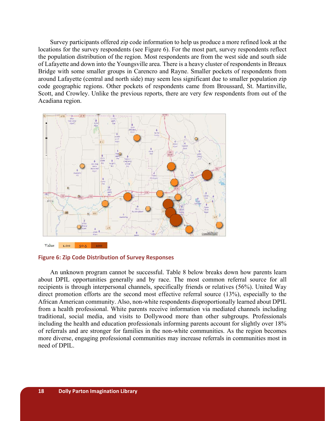Survey participants offered zip code information to help us produce a more refined look at the locations for the survey respondents (see Figure 6). For the most part, survey respondents reflect the population distribution of the region. Most respondents are from the west side and south side of Lafayette and down into the Youngsville area. There is a heavy cluster of respondents in Breaux Bridge with some smaller groups in Carencro and Rayne. Smaller pockets of respondents from around Lafayette (central and north side) may seem less significant due to smaller population zip code geographic regions. Other pockets of respondents came from Broussard, St. Martinville, Scott, and Crowley. Unlike the previous reports, there are very few respondents from out of the Acadiana region.



**Figure 6: Zip Code Distribution of Survey Responses** 

An unknown program cannot be successful. Table 8 below breaks down how parents learn about DPIL opportunities generally and by race. The most common referral source for all recipients is through interpersonal channels, specifically friends or relatives (56%). United Way direct promotion efforts are the second most effective referral source (13%), especially to the African American community. Also, non-white respondents disproportionally learned about DPIL from a health professional. White parents receive information via mediated channels including traditional, social media, and visits to Dollywood more than other subgroups. Professionals including the health and education professionals informing parents account for slightly over 18% of referrals and are stronger for families in the non-white communities. As the region becomes more diverse, engaging professional communities may increase referrals in communities most in need of DPIL.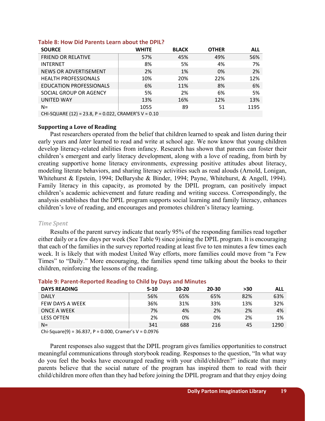| <b>SOURCE</b>                                        | <b>WHITE</b> | <b>BLACK</b> | <b>OTHER</b> | <b>ALL</b> |
|------------------------------------------------------|--------------|--------------|--------------|------------|
| <b>FRIEND OR RELATIVE</b>                            | 57%          | 45%          | 49%          | 56%        |
| <b>INTERNET</b>                                      | 8%           | 5%           | 4%           | 7%         |
| NEWS OR ADVERTISEMENT                                | 2%           | 1%           | 0%           | 2%         |
| <b>HEALTH PROFESSIONALS</b>                          | 10%          | 20%          | 22%          | 12%        |
| <b>EDUCATION PROFESSIONALS</b>                       | 6%           | 11%          | 8%           | 6%         |
| SOCIAL GROUP OR AGENCY                               | 5%           | 2%           | 6%           | 5%         |
| UNITED WAY                                           | 13%          | 16%          | 12%          | 13%        |
| $N =$                                                | 1055         | 89           | 51           | 1195       |
| CHI-SQUARE (12) = 23.8, P = 0.022, CRAMER'S V = 0.10 |              |              |              |            |

#### **Table 8: How Did Parents Learn about the DPIL?**

#### **Supporting a Love of Reading**

Past researchers operated from the belief that children learned to speak and listen during their early years and *later* learned to read and write at school age. We now know that young children develop literacy-related abilities from infancy. Research has shown that parents can foster their children's emergent and early literacy development, along with a love of reading, from birth by creating supportive home literacy environments, expressing positive attitudes about literacy, modeling literate behaviors, and sharing literacy activities such as read alouds (Arnold, Lonigan, Whitehurst & Epstein, 1994; DeBaryshe & Binder, 1994; Payne, Whitehurst, & Angell, 1994). Family literacy in this capacity, as promoted by the DPIL program, can positively impact children's academic achievement and future reading and writing success. Correspondingly, the analysis establishes that the DPIL program supports social learning and family literacy, enhances children's love of reading, and encourages and promotes children's literacy learning.

#### *Time Spent*

Results of the parent survey indicate that nearly 95% of the responding families read together either daily or a few days per week (See Table 9) since joining the DPIL program. It is encouraging that each of the families in the survey reported reading at least five to ten minutes a few times each week. It is likely that with modest United Way efforts, more families could move from "a Few Times" to "Daily." More encouraging, the families spend time talking about the books to their children, reinforcing the lessons of the reading.

| <b>DAYS READING</b>     | $5 - 10$ | $10-20$ | $20 - 30$ | >30 | ALL  |
|-------------------------|----------|---------|-----------|-----|------|
| <b>DAILY</b>            | 56%      | 65%     | 65%       | 82% | 63%  |
| FEW DAYS A WEEK         | 36%      | 31%     | 33%       | 13% | 32%  |
| <b>ONCE A WEEK</b>      | 7%       | 4%      | 2%        | 2%  | 4%   |
| <b>LESS OFTEN</b>       | 2%       | 0%      | 0%        | 2%  | 1%   |
| $N =$                   | 341      | 688     | 216       | 45  | 1290 |
| $\cdot$ $\cdot$<br>---- | .        |         |           |     |      |

#### **Table 9: Parent‐Reported Reading to Child by Days and Minutes**

Chi-Square(9) = 36.837, P = 0.000, Cramer's  $V = 0.0976$ 

Parent responses also suggest that the DPIL program gives families opportunities to construct meaningful communications through storybook reading. Responses to the question, "In what way do you feel the books have encouraged reading with your child/children?" indicate that many parents believe that the social nature of the program has inspired them to read with their child/children more often than they had before joining the DPIL program and that they enjoy doing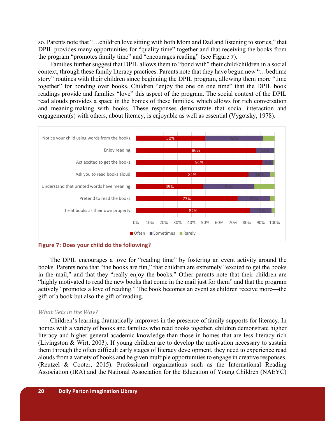so. Parents note that "…children love sitting with both Mom and Dad and listening to stories," that DPIL provides many opportunities for "quality time" together and that receiving the books from the program "promotes family time" and "encourages reading" (see Figure 7).

Families further suggest that DPIL allows them to "bond with" their child/children in a social context, through these family literacy practices. Parents note that they have begun new "…bedtime story" routines with their children since beginning the DPIL program, allowing them more "time together" for bonding over books. Children "enjoy the one on one time" that the DPIL book readings provide and families "love" this aspect of the program. The social context of the DPIL read alouds provides a space in the homes of these families, which allows for rich conversation and meaning-making with books. These responses demonstrate that social interaction and engagement(s) with others, about literacy, is enjoyable as well as essential (Vygotsky, 1978).





The DPIL encourages a love for "reading time" by fostering an event activity around the books. Parents note that "the books are fun," that children are extremely "excited to get the books in the mail," and that they "really enjoy the books." Other parents note that their children are "highly motivated to read the new books that come in the mail just for them" and that the program actively "promotes a love of reading." The book becomes an event as children receive more—the gift of a book but also the gift of reading.

## *What Gets in the Way?*

Children's learning dramatically improves in the presence of family supports for literacy. In homes with a variety of books and families who read books together, children demonstrate higher literacy and higher general academic knowledge than those in homes that are less literacy-rich (Livingston & Wirt, 2003). If young children are to develop the motivation necessary to sustain them through the often difficult early stages of literacy development, they need to experience read alouds from a variety of books and be given multiple opportunities to engage in creative responses. (Reutzel & Cooter, 2015). Professional organizations such as the International Reading Association (IRA) and the National Association for the Education of Young Children (NAEYC)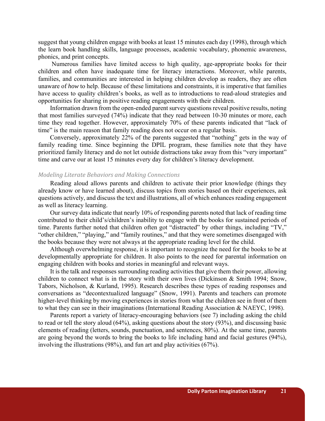suggest that young children engage with books at least 15 minutes each day (1998), through which the learn book handling skills, language processes, academic vocabulary, phonemic awareness, phonics, and print concepts.

 Numerous families have limited access to high quality, age-appropriate books for their children and often have inadequate time for literacy interactions. Moreover, while parents, families, and communities are interested in helping children develop as readers, they are often unaware of *how* to help. Because of these limitations and constraints, it is imperative that families have access to quality children's books, as well as to introductions to read-aloud strategies and opportunities for sharing in positive reading engagements with their children.

Information drawn from the open-ended parent survey questions reveal positive results, noting that most families surveyed (74%) indicate that they read between 10-30 minutes or more, each time they read together. However, approximately 70% of these parents indicated that "lack of time" is the main reason that family reading does not occur on a regular basis.

Conversely, approximately 22% of the parents suggested that "nothing" gets in the way of family reading time. Since beginning the DPIL program, these families note that they have prioritized family literacy and do not let outside distractions take away from this "very important" time and carve our at least 15 minutes every day for children's literacy development.

#### *Modeling Literate Behaviors and Making Connections*

Reading aloud allows parents and children to activate their prior knowledge (things they already know or have learned about), discuss topics from stories based on their experiences, ask questions actively, and discuss the text and illustrations, all of which enhances reading engagement as well as literacy learning.

Our survey data indicate that nearly 10% of responding parents noted that lack of reading time contributed to their child's/children's inability to engage with the books for sustained periods of time. Parents further noted that children often got "distracted" by other things, including "TV," "other children," "playing," and "family routines," and that they were sometimes disengaged with the books because they were not always at the appropriate reading level for the child.

Although overwhelming response, it is important to recognize the need for the books to be at developmentally appropriate for children. It also points to the need for parental information on engaging children with books and stories in meaningful and relevant ways.

It is the talk and responses surrounding reading activities that give them their power, allowing children to connect what is in the story with their own lives (Dickinson & Smith 1994; Snow, Tabors, Nicholson, & Kurland, 1995). Research describes these types of reading responses and conversations as "decontextualized language" (Snow, 1991). Parents and teachers can promote higher-level thinking by moving experiences in stories from what the children see in front of them to what they can see in their imaginations (International Reading Association & NAEYC, 1998).

Parents report a variety of literacy-encouraging behaviors (see 7) including asking the child to read or tell the story aloud (64%), asking questions about the story (93%), and discussing basic elements of reading (letters, sounds, punctuation, and sentences, 80%). At the same time, parents are going beyond the words to bring the books to life including hand and facial gestures (94%), involving the illustrations (98%), and fun art and play activities (67%).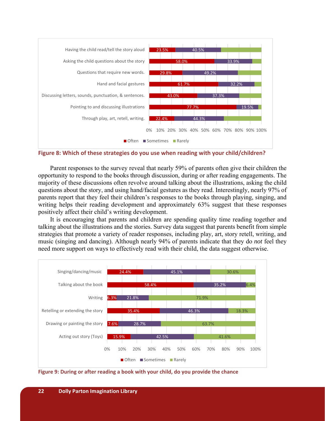

**Figure 8: Which of these strategies do you use when reading with your child/children?** 

Parent responses to the survey reveal that nearly 59% of parents often give their children the opportunity to respond to the books through discussion, during or after reading engagements. The majority of these discussions often revolve around talking about the illustrations, asking the child questions about the story, and using hand/facial gestures as they read. Interestingly, nearly 97% of parents report that they feel their children's responses to the books through playing, singing, and writing helps their reading development and approximately 63% suggest that these responses positively affect their child's writing development.

It is encouraging that parents and children are spending quality time reading together and talking about the illustrations and the stories. Survey data suggest that parents benefit from simple strategies that promote a variety of reader responses, including play, art, story retell, writing, and music (singing and dancing). Although nearly 94% of parents indicate that they do *not* feel they need more support on ways to effectively read with their child, the data suggest otherwise.



**Figure 9: During or after reading a book with your child, do you provide the chance**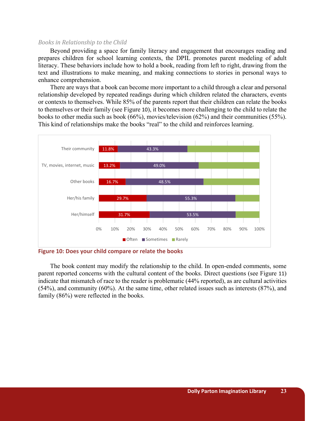#### *Books in Relationship to the Child*

Beyond providing a space for family literacy and engagement that encourages reading and prepares children for school learning contexts, the DPIL promotes parent modeling of adult literacy. These behaviors include how to hold a book, reading from left to right, drawing from the text and illustrations to make meaning, and making connections to stories in personal ways to enhance comprehension.

There are ways that a book can become more important to a child through a clear and personal relationship developed by repeated readings during which children related the characters, events or contexts to themselves. While 85% of the parents report that their children can relate the books to themselves or their family (see Figure 10), it becomes more challenging to the child to relate the books to other media such as book (66%), movies/television (62%) and their communities (55%). This kind of relationships make the books "real" to the child and reinforces learning.



**Figure 10: Does your child compare or relate the books** 

The book content may modify the relationship to the child. In open-ended comments, some parent reported concerns with the cultural content of the books. Direct questions (see Figure 11) indicate that mismatch of race to the reader is problematic (44% reported), as are cultural activities (54%), and community (60%). At the same time, other related issues such as interests (87%), and family (86%) were reflected in the books.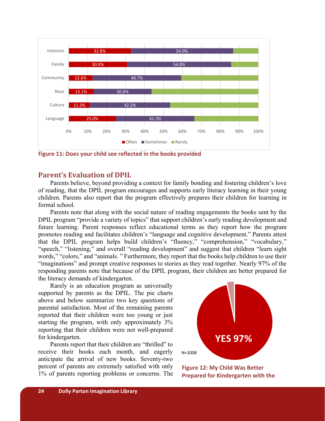

**Figure 11: Does your child see reflected in the books provided** 

## **Parent's Evaluation** of **DPIL**

Parents believe, beyond providing a context for family bonding and fostering children's love of reading, that the DPIL program encourages and supports early literacy learning in their young children. Parents also report that the program effectively prepares their children for learning in formal school.

Parents note that along with the social nature of reading engagements the books sent by the DPIL program "provide a variety of topics" that support children's early reading development and future learning. Parent responses reflect educational terms as they report how the program promotes reading and facilitates children's "language and cognitive development." Parents attest that the DPIL program helps build children's "fluency," "comprehension," "vocabulary," "speech," "listening," and overall "reading development" and suggest that children "learn sight words," "colors," and "animals. " Furthermore, they report that the books help children to use their "imaginations" and prompt creative responses to stories as they read together. Nearly 97% of the responding parents note that because of the DPIL program, their children are better prepared for the literacy demands of kindergarten.

Rarely is an education program as universally supported by parents as the DPIL. The pie charts above and below summarize two key questions of parental satisfaction. Most of the remaining parents reported that their children were too young or just starting the program, with only approximately 3% reporting that their children were not well-prepared for kindergarten.

Parents report that their children are "thrilled" to receive their books each month, and eagerly anticipate the arrival of new books. Seventy-two percent of parents are extremely satisfied with only 1% of parents reporting problems or concerns. The



**Figure 12: My Child Was Better Prepared for Kindergarten with the**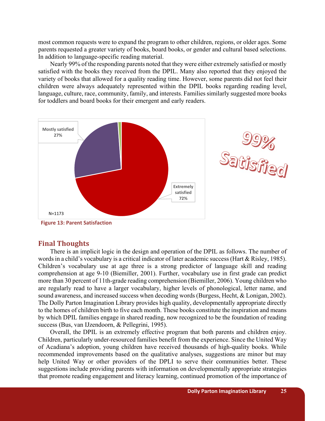most common requests were to expand the program to other children, regions, or older ages. Some parents requested a greater variety of books, board books, or gender and cultural based selections. In addition to language-specific reading material.

Nearly 99% of the responding parents noted that they were either extremely satisfied or mostly satisfied with the books they received from the DPIL. Many also reported that they enjoyed the variety of books that allowed for a quality reading time. However, some parents did not feel their children were always adequately represented within the DPIL books regarding reading level, language, culture, race, community, family, and interests. Families similarly suggested more books for toddlers and board books for their emergent and early readers.



 **Figure 13: Parent Satisfaction** 

## **Final Thoughts**

There is an implicit logic in the design and operation of the DPIL as follows. The number of words in a child's vocabulary is a critical indicator of later academic success (Hart & Risley, 1985). Children's vocabulary use at age three is a strong predictor of language skill and reading comprehension at age 9-10 (Biemiller, 2001). Further, vocabulary use in first grade can predict more than 30 percent of 11th-grade reading comprehension (Biemiller, 2006). Young children who are regularly read to have a larger vocabulary, higher levels of phonological, letter name, and sound awareness, and increased success when decoding words (Burgess, Hecht, & Lonigan, 2002). The Dolly Parton Imagination Library provides high quality, developmentally appropriate directly to the homes of children birth to five each month. These books constitute the inspiration and means by which DPIL families engage in shared reading, now recognized to be the foundation of reading success (Bus, van IJzendoorn, & Pellegrini, 1995).

Overall, the DPIL is an extremely effective program that both parents and children enjoy. Children, particularly under-resourced families benefit from the experience. Since the United Way of Acadiana's adoption, young children have received thousands of high-quality books. While recommended improvements based on the qualitative analyses, suggestions are minor but may help United Way or other providers of the DPLI to serve their communities better. These suggestions include providing parents with information on developmentally appropriate strategies that promote reading engagement and literacy learning, continued promotion of the importance of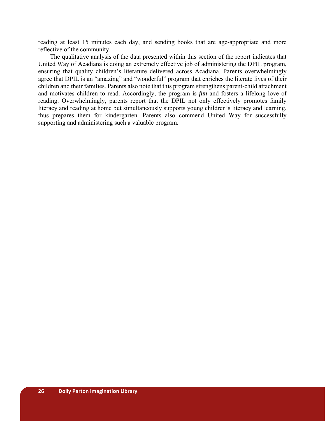reading at least 15 minutes each day, and sending books that are age-appropriate and more reflective of the community.

The qualitative analysis of the data presented within this section of the report indicates that United Way of Acadiana is doing an extremely effective job of administering the DPIL program, ensuring that quality children's literature delivered across Acadiana. Parents overwhelmingly agree that DPIL is an "amazing" and "wonderful" program that enriches the literate lives of their children and their families. Parents also note that this program strengthens parent-child attachment and motivates children to read. Accordingly, the program is *fun* and fosters a lifelong love of reading. Overwhelmingly, parents report that the DPIL not only effectively promotes family literacy and reading at home but simultaneously supports young children's literacy and learning, thus prepares them for kindergarten. Parents also commend United Way for successfully supporting and administering such a valuable program.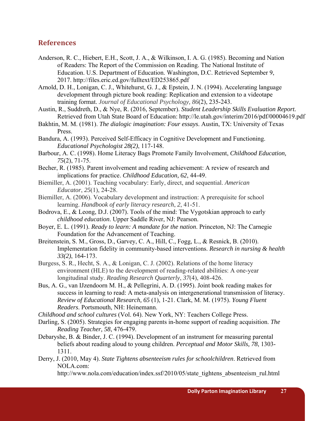## **References**

Anderson, R. C., Hiebert, E.H., Scott, J. A., & Wilkinson, I. A. G. (1985). Becoming and Nation of Readers: The Report of the Commission on Reading. The National Institute of Education. U.S. Department of Education. Washington, D.C. Retrieved September 9, 2017. http://files.eric.ed.gov/fulltext/ED253865.pdf

Arnold, D. H., Lonigan, C. J., Whitehurst, G. J., & Epstein, J. N. (1994). Accelerating language development through picture book reading: Replication and extension to a videotape training format. *Journal of Educational Psychology, 86*(2), 235-243.

Austin, R., Suddreth, D., & Nye, R. (2016, September). *Student Leadership Skills Evaluation Report.* Retrieved from Utah State Board of Education: http://le.utah.gov/interim/2016/pdf/00004619.pdf

Bakhtin, M. M. (1981). *The dialogic imagination: Four essays*. Austin, TX: University of Texas Press.

- Bandura, A. (1993). Perceived Self-Efficacy in Cognitive Development and Functioning. *Educational Psychologist 28(2)*, 117-148.
- Barbour, A. C. (1998). Home Literacy Bags Promote Family Involvement, *Childhood Education, 75*(2), 71-75.
- Becher, R. (1985). Parent involvement and reading achievement: A review of research and implications for practice. *Childhood Education, 62*, 44-49.
- Biemiller, A. (2001). Teaching vocabulary: Early, direct, and sequential. *American Educator*, *25*(1), 24-28.
- Biemiller, A. (2006). Vocabulary development and instruction: A prerequisite for school learning. *Handbook of early literacy research*, *2*, 41-51.
- Bodrova, E., & Leong, D.J. (2007). Tools of the mind: The Vygotskian approach to early *childhood education*. Upper Saddle River, NJ: Pearson.
- Boyer, E. L. (1991). *Ready to learn: A mandate for the nation*. Princeton, NJ: The Carnegie Foundation for the Advancement of Teaching.
- Breitenstein, S. M., Gross, D., Garvey, C. A., Hill, C., Fogg, L., & Resnick, B. (2010). Implementation fidelity in community‐based interventions. *Research in nursing & health 33(2)*, 164-173.
- Burgess, S. R., Hecht, S. A., & Lonigan, C. J. (2002). Relations of the home literacy environment (HLE) to the development of reading-related abilities: A one-year longitudinal study. *Reading Research Quarterly*, *37*(4), 408-426.
- Bus, A. G., van IJzendoorn M. H., & Pellegrini, A. D. (1995). Joint book reading makes for success in learning to read: A meta-analysis on intergenerational transmission of literacy. *Review of Educational Research, 65* (1), 1-21. Clark, M. M. (1975). *Young Fluent Readers*. Portsmouth, NH: Heinemann.

*Childhood and school cultures* (Vol. 64). New York, NY: Teachers College Press.

- Darling, S. (2005). Strategies for engaging parents in-home support of reading acquisition. *The Reading Teacher, 58*, 476-479.
- Debaryshe, B. & Binder, J. C. (1994). Development of an instrument for measuring parental beliefs about reading aloud to young children. *Perceptual and Motor Skills, 78*, 1303- 1311.
- Derry, J. (2010, May 4). *State Tightens absenteeism rules for schoolchildren*. Retrieved from NOLA.com:

http://www.nola.com/education/index.ssf/2010/05/state\_tightens\_absenteeism\_rul.html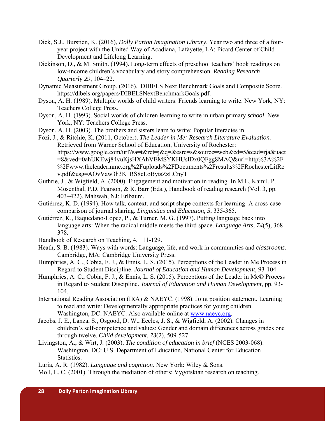- Dick, S.J., Burstien, K. (2016), *Dolly Parton Imagination Library*. Year two and three of a fouryear project with the United Way of Acadiana, Lafayette, LA: Picard Center of Child Development and Lifelong Learning.
- Dickinson, D., & M. Smith. (1994). Long-term effects of preschool teachers' book readings on low-income children's vocabulary and story comprehension. *Reading Research Quarterly 29*, 104–22.
- Dynamic Measurement Group. (2016). DIBELS Next Benchmark Goals and Composite Score. https://dibels.org/papers/DIBELSNextBenchmarkGoals.pdf.
- Dyson, A. H. (1989). Multiple worlds of child writers: Friends learning to write. New York, NY: Teachers College Press.
- Dyson, A. H. (1993). Social worlds of children learning to write in urban primary *school*. New York, NY: Teachers College Press.
- Dyson, A. H. (2003). The brothers and sisters learn to write: Popular literacies in
- Fozi, J., & Ritchie, K. (2011, October). *The Leader in Me: Research Literature Evaluation.* Retrieved from Warner School of Education, University of Rochester: https://www.google.com/url?sa=t&rct=j&q=&esrc=s&source=web&cd=5&cad=rja&uact =8&ved=0ahUKEwj84vuKjsHXAhVEMSYKHUslDx0QFgg8MAQ&url=http%3A%2F %2Fwww.theleaderinme.org%2Fuploads%2FDocuments%2Fresults%2FRochesterLitRe v.pdf&usg=AOvVaw3h3K1RS8cLoBytsZzLCnyT
- Guthrie, J., & Wigfield, A. (2000). Engagement and motivation in reading. In M.L. Kamil, P. Mosenthal, P.D. Pearson, & R. Barr (Eds.), Handbook of reading research (Vol. 3, pp. 403–422). Mahwah, NJ: Erlbaum.
- Gutiérrez, K. D. (1994). How talk, context, and script shape contexts for learning: A cross-case comparison of journal sharing. *Linguistics and Education, 5*, 335-365.
- Gutiérrez, K., Baquedano-Lopez, P., & Turner, M. G. (1997). Putting language back into language arts: When the radical middle meets the third space. *Language Arts, 74*(5), 368- 378.
- Handbook of Research on Teaching, 4, 111-129.
- Heath, S. B. (1983). Ways with words: Language, life, and work in communities and *classrooms.*  Cambridge, MA: Cambridge University Press.
- Humphries, A. C., Cobia, F. J., & Ennis, L. S. (2015). Perceptions of the Leader in Me Process in Regard to Student Discipline. *Journal of Education and Human Development*, 93-104.
- Humphries, A. C., Cobia, F. J., & Ennis, L. S. (2015). Perceptions of the Leader in Me© Process in Regard to Student Discipline. *Journal of Education and Human Development*, pp. 93- 104.
- International Reading Association (IRA) & NAEYC. (1998). Joint position statement. Learning to read and write: Developmentally appropriate practices for young children. Washington, DC: NAEYC. Also available online at www.naeyc.org.
- Jacobs, J. E., Lanza, S., Osgood, D. W., Eccles, J. S., & Wigfield, A. (2002). Changes in children's self‐competence and values: Gender and domain differences across grades one through twelve. *Child development*, *73*(2), 509-527
- Livingston, A., & Wirt, J. (2003). *The condition of education in brief* (NCES 2003-068). Washington, DC: U.S. Department of Education, National Center for Education Statistics.

Luria, A. R. (1982). *Language and cognition*. New York: Wiley & Sons.

Moll, L. C. (2001). Through the mediation of others: Vygotskian research on teaching.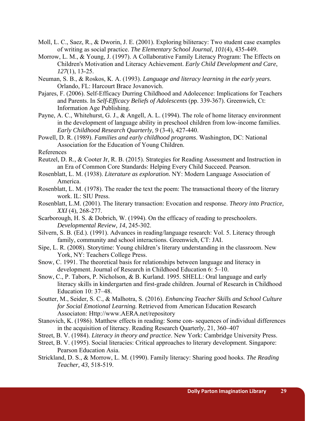- Moll, L. C., Saez, R., & Dworin, J. E. (2001). Exploring biliteracy: Two student case examples of writing as social practice. *The Elementary School Journal, 101*(4), 435-449.
- Morrow, L. M., & Young, J. (1997). A Collaborative Family Literacy Program: The Effects on Children's Motivation and Literacy Achievement. *Early Child Development and Care*, *127*(1), 13-25.
- Neuman, S. B., & Roskos, K. A. (1993). *Language and literacy learning in the early years.*  Orlando, FL: Harcourt Brace Jovanovich.
- Pajares, F. (2006). Self-Efficacy Durring Childhood and Adolecence: Implications for Teachers and Parents. In *Self-Efficacy Beliefs of Adolescents* (pp. 339-367). Greenwich, Ct: Information Age Publishing.
- Payne, A. C., Whitehurst, G. J., & Angell, A. L. (1994). The role of home literacy environment in the development of language ability in preschool children from low-income families. *Early Childhood Research Quarterly, 9* (3-4), 427-440.
- Powell, D. R. (1989). *Families and early childhood programs*. Washington, DC: National Association for the Education of Young Children.

References

- Reutzel, D. R., & Cooter Jr, R. B. (2015). Strategies for Reading Assessment and Instruction in an Era of Common Core Standards: Helping Every Child Succeed. Pearson.
- Rosenblatt, L. M. (1938). *Literature as exploration.* NY: Modern Language Association of America.
- Rosenblatt, L. M. (1978). The reader the text the poem: The transactional theory of the literary work. IL: SIU Press.
- Rosenblatt, L.M. (2001). The literary transaction: Evocation and response. *Theory into Practice, XXI* (4), 268-277.
- Scarborough, H. S. & Dobrich, W. (1994). On the efficacy of reading to preschoolers. *Developmental Review, 14*, 245-302.
- Silvern, S. B. (Ed.). (1991). Advances in reading/language research: Vol. 5. Literacy through family, community and school interactions. Greenwich, CT: JAI.
- Sipe, L. R. (2008). Storytime: Young children's literary understanding in the classroom. New York, NY: Teachers College Press.
- Snow, C. 1991. The theoretical basis for relationships between language and literacy in development. Journal of Research in Childhood Education 6: 5–10.
- Snow, C., P. Tabors, P. Nicholson, & B. Kurland. 1995. SHELL: Oral language and early literacy skills in kindergarten and first-grade children. Journal of Research in Childhood Education 10: 37–48.
- Soutter, M., Seider, S. C., & Malhotra, S. (2016). *Enhancing Teacher Skills and School Culture for Social Emotional Learning.* Retrieved from American Education Research Associaton: Http://www.AERA.net/repository
- Stanovich, K. (1986). Matthew effects in reading: Some con- sequences of individual differences in the acquisition of literacy. Reading Research Quarterly, 21, 360–407
- Street, B. V. (1984). *Literacy in theory and practice*. New York: Cambridge University Press.
- Street, B. V. (1995). Social literacies: Critical approaches to literary development. Singapore: Pearson Education Asia.
- Strickland, D. S., & Morrow, L. M. (1990). Family literacy: Sharing good hooks. *The Reading Teacher, 43*, 518-519.